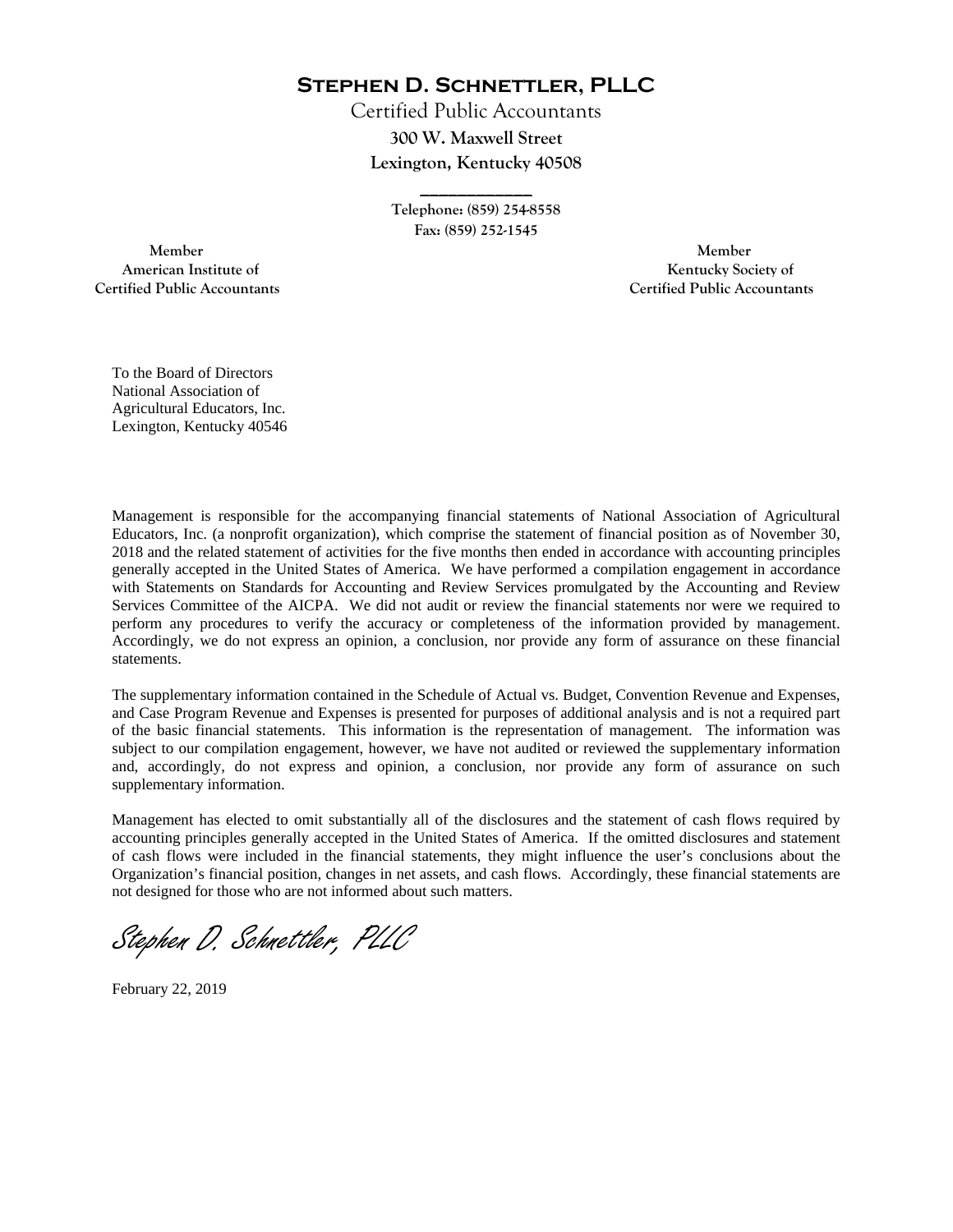**Stephen D. Schnettler, PLLC**

Certified Public Accountants **300 W. Maxwell Street Lexington, Kentucky 40508** 

> **Telephone: (859) 254-8558 Fax: (859) 252-1545**

**\_\_\_\_\_\_\_\_\_\_\_\_** 

 **Member Member Certified Public Accountants Certified Public Accountants** 

American Institute of **Kentucky Society of American Institute of** 

To the Board of Directors National Association of Agricultural Educators, Inc. Lexington, Kentucky 40546

Management is responsible for the accompanying financial statements of National Association of Agricultural Educators, Inc. (a nonprofit organization), which comprise the statement of financial position as of November 30, 2018 and the related statement of activities for the five months then ended in accordance with accounting principles generally accepted in the United States of America. We have performed a compilation engagement in accordance with Statements on Standards for Accounting and Review Services promulgated by the Accounting and Review Services Committee of the AICPA. We did not audit or review the financial statements nor were we required to perform any procedures to verify the accuracy or completeness of the information provided by management. Accordingly, we do not express an opinion, a conclusion, nor provide any form of assurance on these financial statements.

The supplementary information contained in the Schedule of Actual vs. Budget, Convention Revenue and Expenses, and Case Program Revenue and Expenses is presented for purposes of additional analysis and is not a required part of the basic financial statements. This information is the representation of management. The information was subject to our compilation engagement, however, we have not audited or reviewed the supplementary information and, accordingly, do not express and opinion, a conclusion, nor provide any form of assurance on such supplementary information.

Management has elected to omit substantially all of the disclosures and the statement of cash flows required by accounting principles generally accepted in the United States of America. If the omitted disclosures and statement of cash flows were included in the financial statements, they might influence the user's conclusions about the Organization's financial position, changes in net assets, and cash flows. Accordingly, these financial statements are not designed for those who are not informed about such matters.

Stephen D. Schnettler, PLLC

February 22, 2019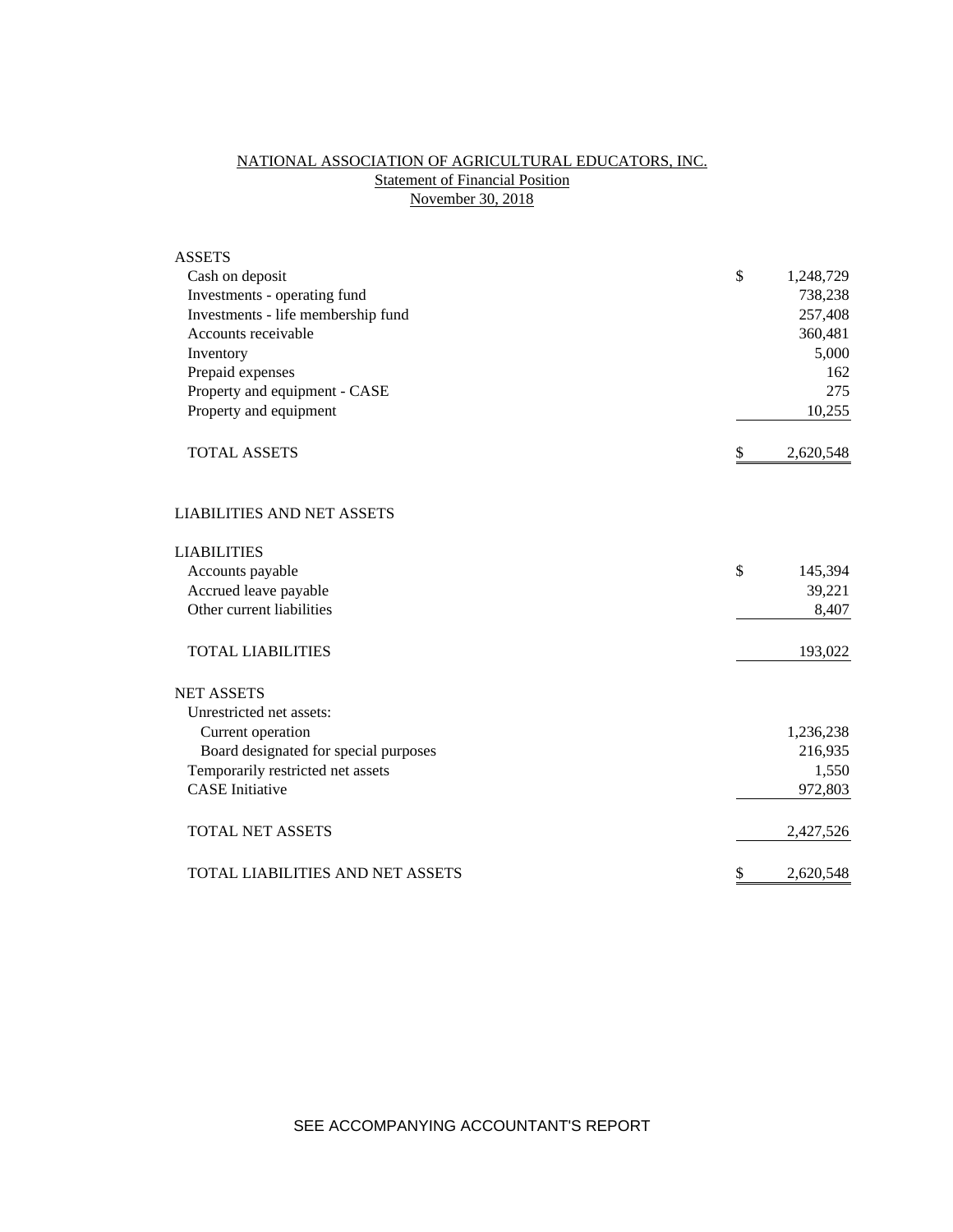# NATIONAL ASSOCIATION OF AGRICULTURAL EDUCATORS, INC. **Statement of Financial Position** November 30, 2018

| <b>ASSETS</b>                         |                 |
|---------------------------------------|-----------------|
| Cash on deposit                       | \$<br>1,248,729 |
| Investments - operating fund          | 738,238         |
| Investments - life membership fund    | 257,408         |
| Accounts receivable                   | 360,481         |
| Inventory                             | 5,000           |
| Prepaid expenses                      | 162             |
| Property and equipment - CASE         | 275             |
| Property and equipment                | 10,255          |
| <b>TOTAL ASSETS</b>                   | \$<br>2,620,548 |
| <b>LIABILITIES AND NET ASSETS</b>     |                 |
| <b>LIABILITIES</b>                    |                 |
| Accounts payable                      | \$<br>145,394   |
| Accrued leave payable                 | 39,221          |
| Other current liabilities             | 8,407           |
| <b>TOTAL LIABILITIES</b>              | 193,022         |
| <b>NET ASSETS</b>                     |                 |
| Unrestricted net assets:              |                 |
| Current operation                     | 1,236,238       |
| Board designated for special purposes | 216,935         |
| Temporarily restricted net assets     | 1,550           |
| <b>CASE</b> Initiative                | 972,803         |
| <b>TOTAL NET ASSETS</b>               | 2,427,526       |
| TOTAL LIABILITIES AND NET ASSETS      | \$<br>2,620,548 |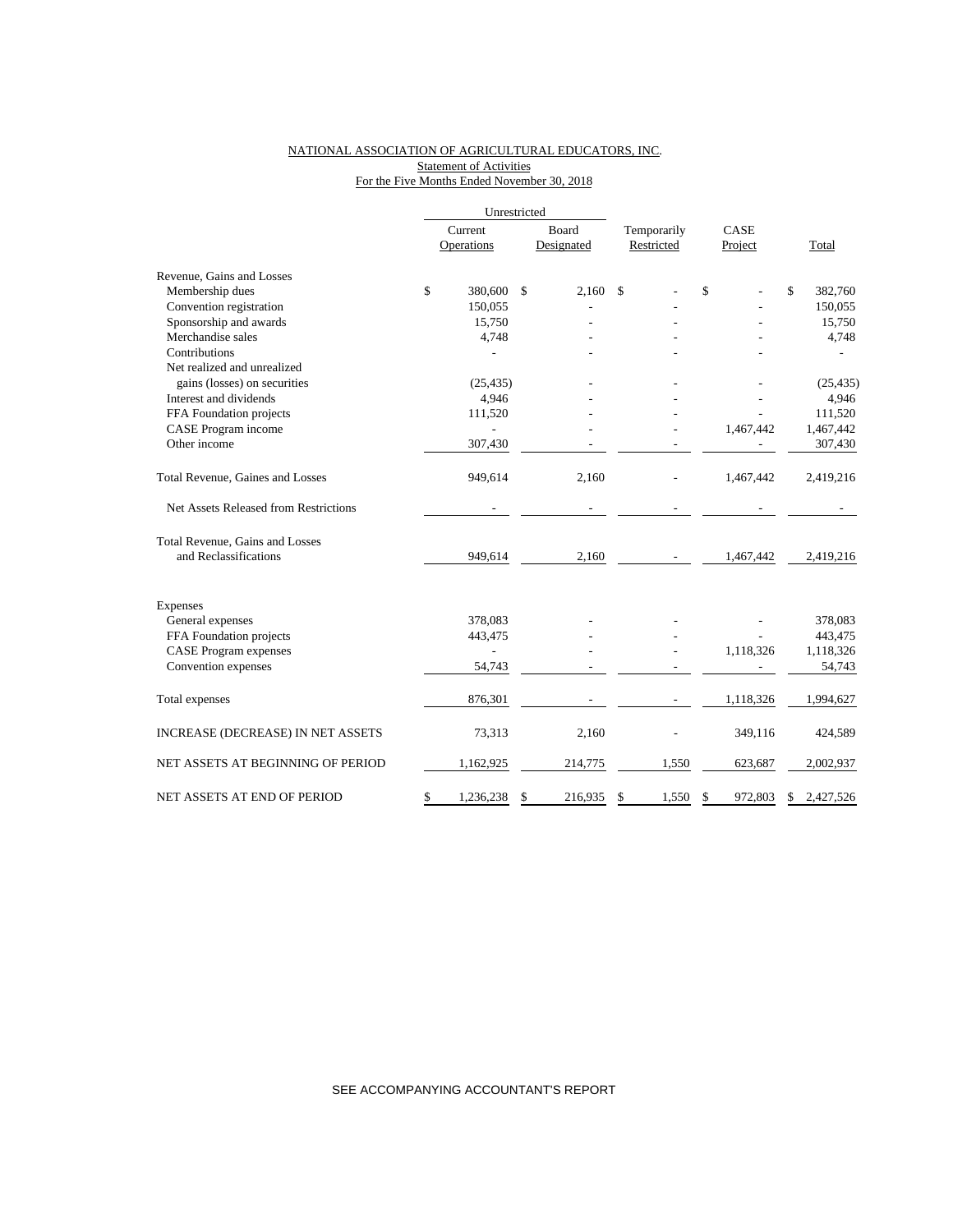### NATIONAL ASSOCIATION OF AGRICULTURAL EDUCATORS, INC. Statement of Activities For the Five Months Ended November 30, 2018

|                                       | Unrestricted    |    |            |             |            |               |                 |
|---------------------------------------|-----------------|----|------------|-------------|------------|---------------|-----------------|
|                                       | Current         |    | Board      | Temporarily |            | CASE          |                 |
|                                       | Operations      |    | Designated |             | Restricted | Project       | Total           |
| Revenue, Gains and Losses             |                 |    |            |             |            |               |                 |
| Membership dues                       | \$<br>380,600   | \$ | 2,160      | \$          |            | \$            | \$<br>382,760   |
| Convention registration               | 150,055         |    |            |             |            |               | 150,055         |
| Sponsorship and awards                | 15,750          |    |            |             |            |               | 15,750          |
| Merchandise sales                     | 4,748           |    |            |             |            |               | 4,748           |
| Contributions                         |                 |    |            |             |            |               |                 |
| Net realized and unrealized           |                 |    |            |             |            |               |                 |
| gains (losses) on securities          | (25, 435)       |    |            |             |            |               | (25, 435)       |
| Interest and dividends                | 4,946           |    |            |             |            |               | 4,946           |
| FFA Foundation projects               | 111,520         |    |            |             |            |               | 111,520         |
| CASE Program income                   |                 |    |            |             |            | 1,467,442     | 1,467,442       |
| Other income                          | 307,430         |    |            |             |            |               | 307,430         |
| Total Revenue, Gaines and Losses      | 949,614         |    | 2,160      |             |            | 1,467,442     | 2,419,216       |
| Net Assets Released from Restrictions |                 |    |            |             |            |               |                 |
| Total Revenue, Gains and Losses       |                 |    |            |             |            |               |                 |
| and Reclassifications                 | 949,614         |    | 2,160      |             |            | 1,467,442     | 2,419,216       |
| Expenses                              |                 |    |            |             |            |               |                 |
| General expenses                      | 378,083         |    |            |             |            |               | 378,083         |
| FFA Foundation projects               | 443,475         |    |            |             |            |               | 443,475         |
| <b>CASE Program expenses</b>          |                 |    |            |             |            | 1,118,326     | 1,118,326       |
| Convention expenses                   | 54,743          |    |            |             |            |               | 54,743          |
| Total expenses                        | 876,301         |    |            |             |            | 1,118,326     | 1,994,627       |
| INCREASE (DECREASE) IN NET ASSETS     | 73,313          |    | 2,160      |             |            | 349,116       | 424,589         |
| NET ASSETS AT BEGINNING OF PERIOD     | 1,162,925       |    | 214,775    |             | 1,550      | 623,687       | 2,002,937       |
| NET ASSETS AT END OF PERIOD           | \$<br>1,236,238 | S  | 216,935    | \$          | 1,550      | \$<br>972,803 | \$<br>2,427,526 |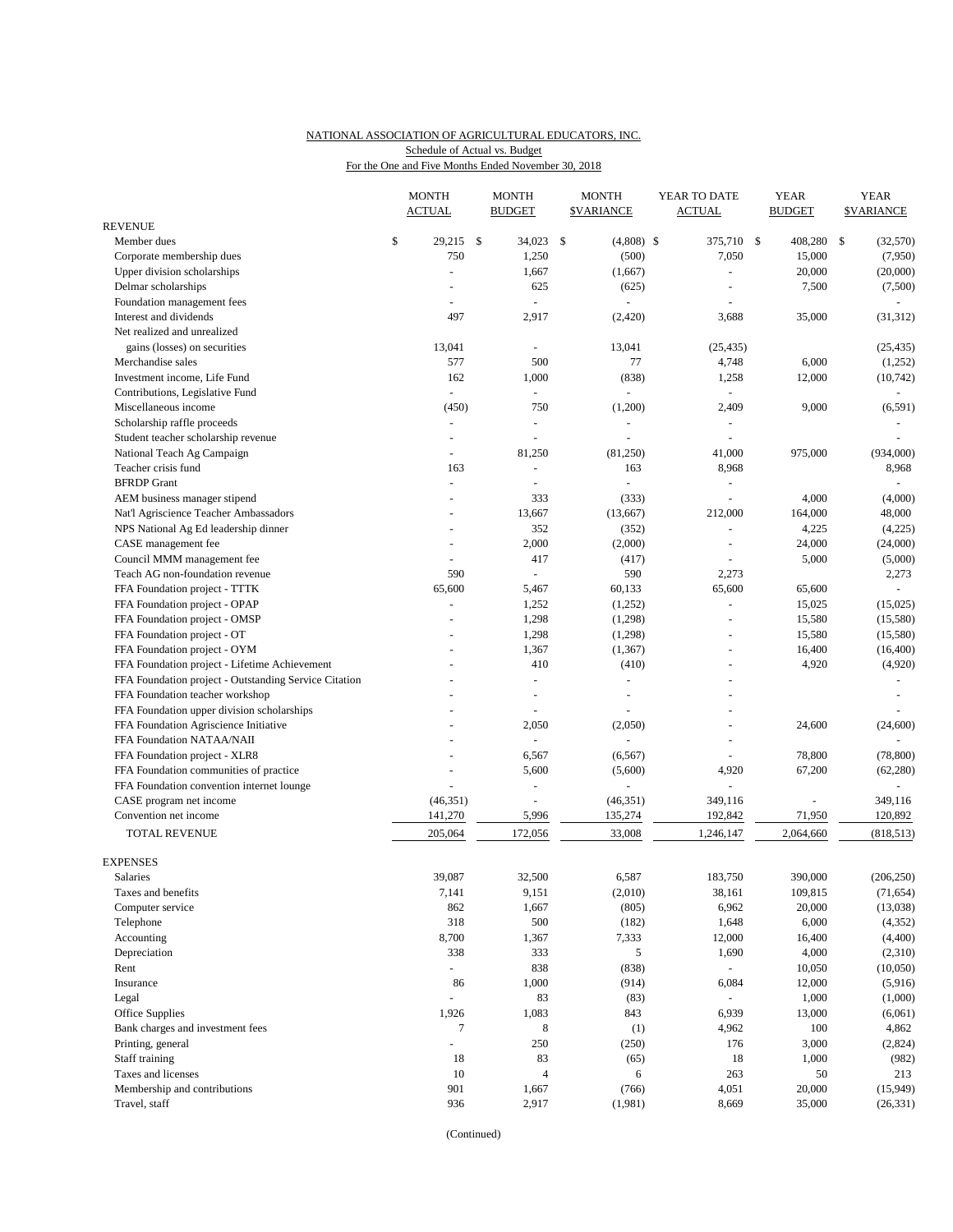## NATIONAL ASSOCIATION OF AGRICULTURAL EDUCATORS, INC. Schedule of Actual vs. Budget

For the One and Five Months Ended November 30, 2018

|                                                       |    | <b>MONTH</b><br><b>ACTUAL</b> |  | <b>MONTH</b><br><b>BUDGET</b> |     | <b>MONTH</b><br><b><i>SVARIANCE</i></b> | YEAR TO DATE<br><b>ACTUAL</b> |                |    | <b>YEAR</b><br><b>BUDGET</b> | <b>YEAR</b><br><b><i>SVARIANCE</i></b> |            |
|-------------------------------------------------------|----|-------------------------------|--|-------------------------------|-----|-----------------------------------------|-------------------------------|----------------|----|------------------------------|----------------------------------------|------------|
| <b>REVENUE</b>                                        |    |                               |  |                               |     |                                         |                               |                |    |                              |                                        |            |
| Member dues                                           | \$ | $29,215$ \$                   |  | 34,023                        | -\$ | $(4,808)$ \$                            |                               | 375,710        | \$ | 408,280                      | \$                                     | (32,570)   |
| Corporate membership dues                             |    | 750                           |  | 1,250                         |     | (500)                                   |                               | 7,050          |    | 15,000                       |                                        | (7,950)    |
| Upper division scholarships                           |    | $\sim$                        |  | 1,667                         |     | (1,667)                                 |                               | ä,             |    | 20,000                       |                                        | (20,000)   |
| Delmar scholarships                                   |    |                               |  | 625                           |     | (625)                                   |                               | ÷,             |    | 7,500                        |                                        | (7,500)    |
| Foundation management fees                            |    |                               |  |                               |     |                                         |                               |                |    |                              |                                        |            |
| Interest and dividends                                |    | 497                           |  | 2,917                         |     | (2,420)                                 |                               | 3,688          |    | 35,000                       |                                        | (31, 312)  |
| Net realized and unrealized                           |    |                               |  |                               |     |                                         |                               |                |    |                              |                                        |            |
| gains (losses) on securities                          |    | 13,041                        |  | $\blacksquare$                |     | 13,041                                  |                               | (25, 435)      |    |                              |                                        | (25, 435)  |
| Merchandise sales                                     |    | 577                           |  | 500                           |     | 77                                      |                               | 4,748          |    | 6,000                        |                                        | (1,252)    |
| Investment income, Life Fund                          |    | 162                           |  | 1,000                         |     | (838)                                   |                               | 1,258          |    | 12,000                       |                                        | (10, 742)  |
| Contributions, Legislative Fund                       |    |                               |  |                               |     |                                         |                               |                |    |                              |                                        |            |
| Miscellaneous income                                  |    | (450)                         |  | 750                           |     | (1,200)                                 |                               | 2,409          |    | 9,000                        |                                        | (6, 591)   |
| Scholarship raffle proceeds                           |    |                               |  |                               |     |                                         |                               |                |    |                              |                                        |            |
| Student teacher scholarship revenue                   |    | $\sim$                        |  | $\blacksquare$                |     |                                         |                               | $\overline{a}$ |    |                              |                                        |            |
| National Teach Ag Campaign                            |    |                               |  | 81,250                        |     | (81,250)                                |                               | 41,000         |    | 975,000                      |                                        | (934,000)  |
| Teacher crisis fund                                   |    | 163                           |  | $\blacksquare$                |     | 163                                     |                               | 8,968          |    |                              |                                        | 8,968      |
| <b>BFRDP</b> Grant                                    |    | $\sim$                        |  |                               |     |                                         |                               | ä,             |    |                              |                                        |            |
| AEM business manager stipend                          |    | $\sim$                        |  | 333                           |     | (333)                                   |                               | ä,             |    | 4,000                        |                                        | (4,000)    |
| Nat'l Agriscience Teacher Ambassadors                 |    |                               |  | 13,667                        |     | (13, 667)                               |                               | 212,000        |    | 164,000                      |                                        | 48,000     |
| NPS National Ag Ed leadership dinner                  |    | $\overline{\phantom{a}}$      |  | 352                           |     | (352)                                   |                               | ä,             |    | 4,225                        |                                        | (4,225)    |
| CASE management fee                                   |    |                               |  | 2,000                         |     | (2,000)                                 |                               |                |    | 24,000                       |                                        | (24,000)   |
| Council MMM management fee                            |    |                               |  | 417                           |     | (417)                                   |                               |                |    | 5,000                        |                                        | (5,000)    |
| Teach AG non-foundation revenue                       |    | 590                           |  | $\omega$                      |     | 590                                     |                               | 2,273          |    |                              |                                        | 2,273      |
| FFA Foundation project - TTTK                         |    | 65,600                        |  | 5,467                         |     | 60,133                                  |                               | 65,600         |    | 65,600                       |                                        |            |
| FFA Foundation project - OPAP                         |    | $\sim$                        |  | 1,252                         |     | (1,252)                                 |                               | $\blacksquare$ |    | 15,025                       |                                        | (15,025)   |
| FFA Foundation project - OMSP                         |    |                               |  | 1,298                         |     | (1,298)                                 |                               |                |    | 15,580                       |                                        | (15,580)   |
| FFA Foundation project - OT                           |    |                               |  | 1,298                         |     | (1,298)                                 |                               | ä,             |    | 15,580                       |                                        | (15,580)   |
| FFA Foundation project - OYM                          |    |                               |  | 1,367                         |     | (1, 367)                                |                               | $\sim$         |    | 16,400                       |                                        | (16,400)   |
| FFA Foundation project - Lifetime Achievement         |    |                               |  | 410                           |     | (410)                                   |                               | L,             |    | 4,920                        |                                        | (4,920)    |
| FFA Foundation project - Outstanding Service Citation |    |                               |  | ÷                             |     | $\omega$                                |                               |                |    |                              |                                        |            |
| FFA Foundation teacher workshop                       |    |                               |  |                               |     |                                         |                               |                |    |                              |                                        |            |
| FFA Foundation upper division scholarships            |    |                               |  |                               |     |                                         |                               |                |    |                              |                                        |            |
| FFA Foundation Agriscience Initiative                 |    |                               |  | 2,050                         |     | (2,050)                                 |                               | ÷,             |    | 24,600                       |                                        | (24, 600)  |
| FFA Foundation NATAA/NAII                             |    |                               |  |                               |     |                                         |                               |                |    |                              |                                        |            |
| FFA Foundation project - XLR8                         |    |                               |  | 6,567                         |     | (6, 567)                                |                               |                |    | 78,800                       |                                        | (78, 800)  |
| FFA Foundation communities of practice                |    |                               |  | 5,600                         |     | (5,600)                                 |                               | 4,920          |    | 67,200                       |                                        | (62, 280)  |
| FFA Foundation convention internet lounge             |    |                               |  |                               |     |                                         |                               | L,             |    |                              |                                        | $\sim$     |
| CASE program net income                               |    | (46, 351)                     |  |                               |     | (46, 351)                               |                               | 349,116        |    |                              |                                        | 349,116    |
| Convention net income                                 |    | 141,270                       |  | 5,996                         |     | 135,274                                 |                               | 192,842        |    | 71,950                       |                                        | 120,892    |
| <b>TOTAL REVENUE</b>                                  |    | 205,064                       |  | 172,056                       |     | 33,008                                  |                               | 1,246,147      |    | 2,064,660                    |                                        | (818, 513) |
|                                                       |    |                               |  |                               |     |                                         |                               |                |    |                              |                                        |            |
| <b>EXPENSES</b>                                       |    |                               |  |                               |     |                                         |                               |                |    |                              |                                        |            |
| Salaries                                              |    | 39,087                        |  | 32,500                        |     | 6,587                                   |                               | 183,750        |    | 390,000                      |                                        | (206, 250) |
| Taxes and benefits                                    |    | 7,141                         |  | 9,151                         |     | (2,010)                                 |                               | 38,161         |    | 109,815                      |                                        | (71, 654)  |
| Computer service                                      |    | 862                           |  | 1,667                         |     | (805)                                   |                               | 6,962          |    | 20,000                       |                                        | (13,038)   |
| Telephone                                             |    | 318                           |  | 500                           |     | (182)                                   |                               | 1,648          |    | 6,000                        |                                        | (4, 352)   |
| Accounting                                            |    | 8,700                         |  | 1,367                         |     | 7,333                                   |                               | 12,000         |    | 16,400                       |                                        | (4,400)    |
| Depreciation                                          |    | 338                           |  | 333                           |     | 5                                       |                               | 1,690          |    | 4,000                        |                                        | (2,310)    |
| Rent                                                  |    | $\blacksquare$                |  | 838                           |     | (838)                                   |                               | $\omega$       |    | 10,050                       |                                        | (10,050)   |
| Insurance                                             |    | 86                            |  | 1,000                         |     | (914)                                   |                               | 6,084          |    | 12,000                       |                                        | (5,916)    |
| Legal                                                 |    |                               |  | 83                            |     | (83)                                    |                               |                |    | 1,000                        |                                        | (1,000)    |
| <b>Office Supplies</b>                                |    | 1,926                         |  | 1,083                         |     | 843                                     |                               | 6,939          |    | 13,000                       |                                        | (6,061)    |
| Bank charges and investment fees                      |    | 7                             |  | $\,8\,$                       |     | (1)                                     |                               | 4,962          |    | 100                          |                                        | 4,862      |
| Printing, general                                     |    | $\sim$                        |  | 250                           |     | (250)                                   |                               | 176            |    | 3,000                        |                                        | (2,824)    |
| Staff training                                        |    | 18                            |  | 83                            |     | (65)                                    |                               | 18             |    | 1,000                        |                                        | (982)      |
| Taxes and licenses                                    |    | 10                            |  | $\overline{4}$                |     | 6                                       |                               | 263            |    | 50                           |                                        | 213        |
| Membership and contributions                          |    | 901                           |  | 1,667                         |     | (766)                                   |                               | 4,051          |    | 20,000                       |                                        | (15,949)   |
| Travel, staff                                         |    | 936                           |  | 2,917                         |     | (1,981)                                 |                               | 8,669          |    | 35,000                       |                                        | (26, 331)  |
|                                                       |    |                               |  |                               |     |                                         |                               |                |    |                              |                                        |            |

(Continued)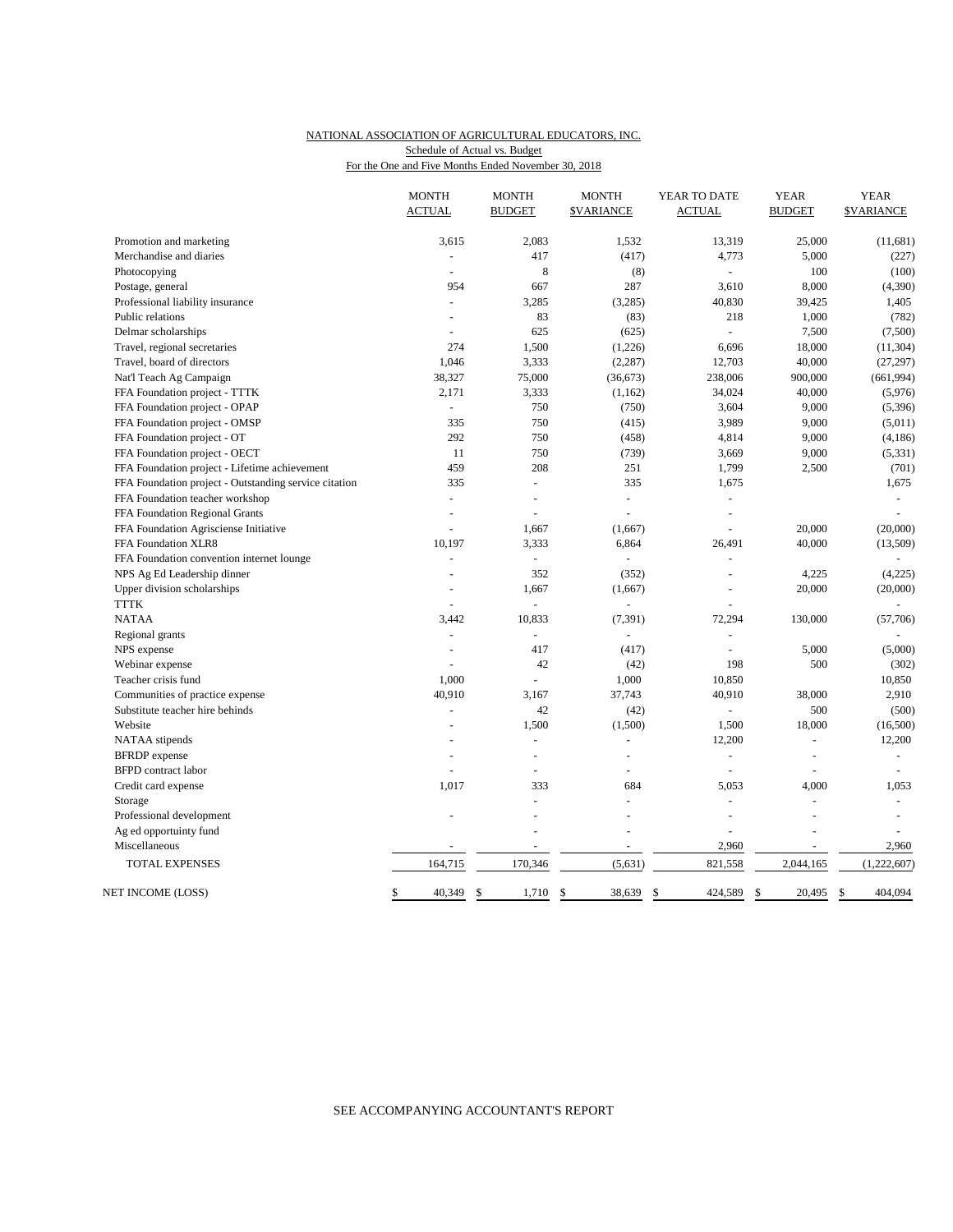### NATIONAL ASSOCIATION OF AGRICULTURAL EDUCATORS, INC. For the One and Five Months Ended November 30, 2018 Schedule of Actual vs. Budget

|                                                       | <b>MONTH</b><br><b>ACTUAL</b> | <b>MONTH</b><br><b>BUDGET</b> | <b>MONTH</b><br><b><i>SVARIANCE</i></b> | YEAR TO DATE<br><b>ACTUAL</b> | <b>YEAR</b><br><b>BUDGET</b> | <b>YEAR</b><br><b>\$VARIANCE</b> |
|-------------------------------------------------------|-------------------------------|-------------------------------|-----------------------------------------|-------------------------------|------------------------------|----------------------------------|
| Promotion and marketing                               | 3,615                         | 2,083                         | 1,532                                   | 13,319                        | 25,000                       | (11,681)                         |
| Merchandise and diaries                               | $\bar{\phantom{a}}$           | 417                           | (417)                                   | 4,773                         | 5,000                        | (227)                            |
| Photocopying                                          | $\sim$                        | $\,8\,$                       | (8)                                     |                               | 100                          | (100)                            |
| Postage, general                                      | 954                           | 667                           | 287                                     | 3,610                         | 8,000                        | (4, 390)                         |
| Professional liability insurance                      | $\overline{a}$                | 3,285                         | (3,285)                                 | 40,830                        | 39,425                       | 1,405                            |
| Public relations                                      | ÷                             | 83                            | (83)                                    | 218                           | 1,000                        | (782)                            |
| Delmar scholarships                                   |                               | 625                           | (625)                                   |                               | 7,500                        | (7,500)                          |
| Travel, regional secretaries                          | 274                           | 1,500                         | (1,226)                                 | 6,696                         | 18,000                       | (11, 304)                        |
| Travel, board of directors                            | 1,046                         | 3,333                         | (2, 287)                                | 12,703                        | 40,000                       | (27, 297)                        |
| Nat'l Teach Ag Campaign                               | 38,327                        | 75,000                        | (36, 673)                               | 238,006                       | 900,000                      | (661, 994)                       |
| FFA Foundation project - TTTK                         | 2,171                         | 3,333                         | (1,162)                                 | 34,024                        | 40,000                       | (5,976)                          |
| FFA Foundation project - OPAP                         |                               | 750                           | (750)                                   | 3,604                         | 9,000                        | (5, 396)                         |
| FFA Foundation project - OMSP                         | 335                           | 750                           | (415)                                   | 3,989                         | 9,000                        | (5,011)                          |
| FFA Foundation project - OT                           | 292                           | 750                           | (458)                                   | 4,814                         | 9,000                        | (4, 186)                         |
| FFA Foundation project - OECT                         | 11                            | 750                           | (739)                                   | 3,669                         | 9,000                        | (5, 331)                         |
| FFA Foundation project - Lifetime achievement         | 459                           | 208                           | 251                                     | 1,799                         | 2,500                        | (701)                            |
| FFA Foundation project - Outstanding service citation | 335                           |                               | 335                                     | 1,675                         |                              | 1,675                            |
| FFA Foundation teacher workshop                       | $\bar{\phantom{a}}$           |                               | L.                                      |                               |                              |                                  |
| FFA Foundation Regional Grants                        | $\sim$                        |                               |                                         | $\overline{a}$                |                              |                                  |
| FFA Foundation Agrisciense Initiative                 |                               | 1,667                         | (1,667)                                 |                               | 20,000                       | (20,000)                         |
| FFA Foundation XLR8                                   | 10,197                        | 3,333                         | 6,864                                   | 26,491                        | 40,000                       | (13,509)                         |
| FFA Foundation convention internet lounge             |                               | ÷                             |                                         |                               |                              |                                  |
| NPS Ag Ed Leadership dinner                           | $\sim$                        | 352                           | (352)                                   | ÷.                            | 4,225                        | (4,225)                          |
| Upper division scholarships                           |                               | 1,667                         | (1,667)                                 |                               | 20,000                       | (20,000)                         |
| <b>TTTK</b>                                           |                               |                               | $\overline{a}$                          |                               |                              |                                  |
| <b>NATAA</b>                                          | 3,442                         | 10,833                        | (7, 391)                                | 72,294                        | 130,000                      | (57,706)                         |
| Regional grants                                       | ÷,                            | $\omega$                      | L.                                      |                               |                              |                                  |
| NPS expense                                           | ÷                             | 417                           | (417)                                   |                               | 5,000                        | (5,000)                          |
| Webinar expense                                       |                               | 42                            | (42)                                    | 198                           | 500                          | (302)                            |
| Teacher crisis fund                                   | 1,000                         |                               | 1,000                                   | 10,850                        |                              | 10,850                           |
| Communities of practice expense                       | 40,910                        | 3,167                         | 37,743                                  | 40,910                        | 38,000                       | 2,910                            |
| Substitute teacher hire behinds                       | ÷,                            | 42                            | (42)                                    | $\blacksquare$                | 500                          | (500)                            |
| Website                                               |                               | 1,500                         | (1,500)                                 | 1,500                         | 18,000                       | (16,500)                         |
| NATAA stipends                                        |                               | $\overline{a}$                |                                         | 12,200                        | $\overline{a}$               | 12,200                           |
| <b>BFRDP</b> expense                                  | $\overline{a}$                | $\sim$                        | $\overline{a}$                          | ÷                             | $\overline{a}$               | $\overline{a}$                   |
| <b>BFPD</b> contract labor                            |                               |                               |                                         | $\overline{a}$                | $\overline{a}$               | $\overline{a}$                   |
| Credit card expense                                   | 1,017                         | 333                           | 684                                     | 5.053                         | 4,000                        | 1,053                            |
| Storage                                               |                               | ÷.                            | $\overline{a}$                          | ÷.                            | ÷.                           | $\overline{a}$                   |
| Professional development                              |                               |                               | $\overline{a}$                          | $\overline{\phantom{a}}$      | $\overline{\phantom{a}}$     |                                  |
| Ag ed opportuinty fund                                |                               |                               |                                         |                               |                              |                                  |
| Miscellaneous                                         |                               |                               | ÷.                                      | 2,960                         |                              | 2,960                            |
| TOTAL EXPENSES                                        | 164,715                       | 170,346                       | (5,631)                                 | 821,558                       | 2,044,165                    | (1,222,607)                      |
| NET INCOME (LOSS)                                     | 40,349<br>\$                  | \$<br>1,710                   | \$<br>38,639                            | \$<br>424,589                 | 20,495<br>\$                 | 404,094<br>\$                    |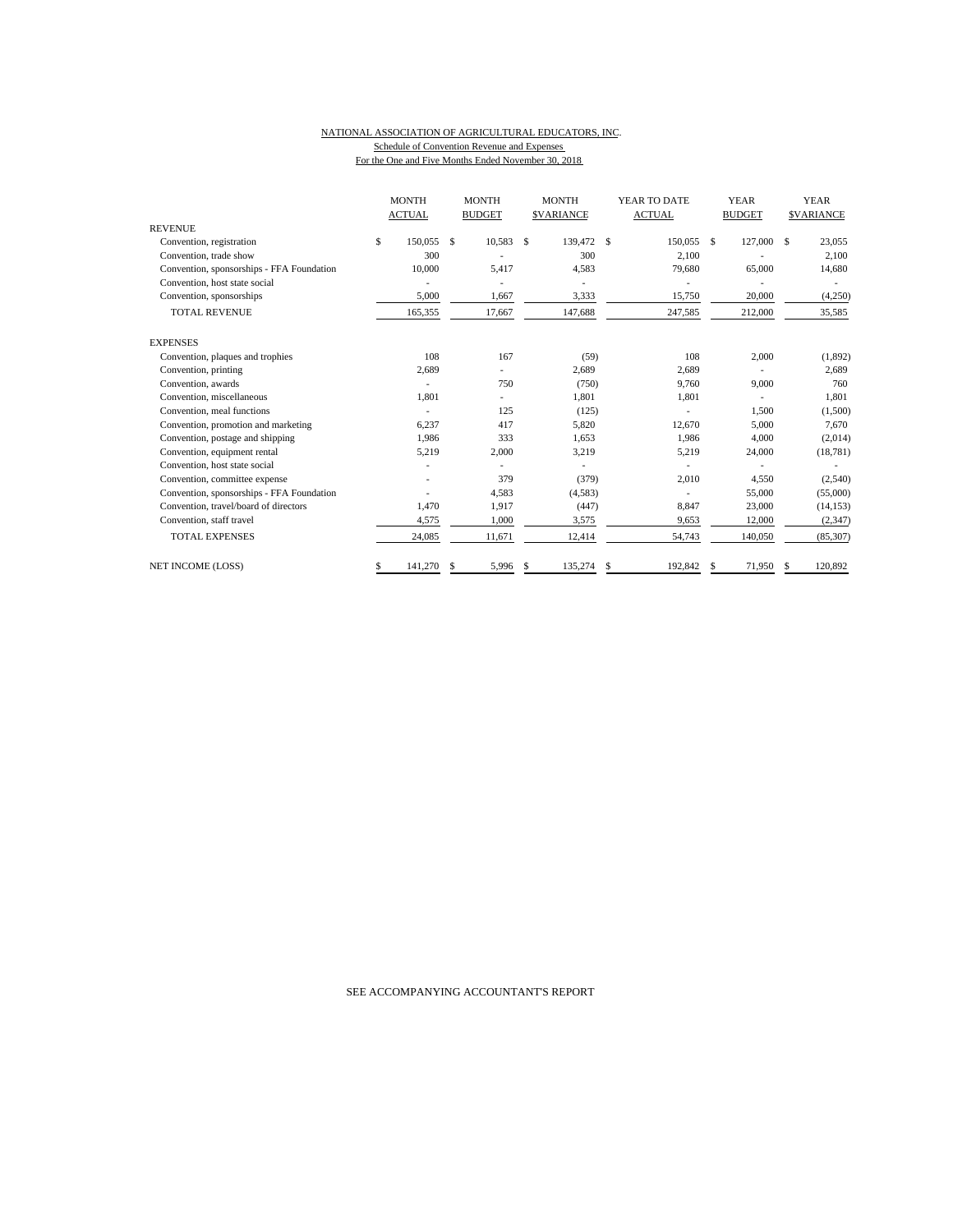#### NATIONAL ASSOCIATION OF AGRICULTURAL EDUCATORS, INC. Schedule of Convention Revenue and Expenses For the One and Five Months Ended November 30, 2018

|                                           | <b>MONTH</b>  |    | <b>MONTH</b>  | <b>MONTH</b><br>YEAR TO DATE |                  |    |               | <b>YEAR</b> |               | <b>YEAR</b> |                  |
|-------------------------------------------|---------------|----|---------------|------------------------------|------------------|----|---------------|-------------|---------------|-------------|------------------|
|                                           | <b>ACTUAL</b> |    | <b>BUDGET</b> |                              | <b>SVARIANCE</b> |    | <b>ACTUAL</b> |             | <b>BUDGET</b> |             | <b>SVARIANCE</b> |
| <b>REVENUE</b>                            |               |    |               |                              |                  |    |               |             |               |             |                  |
| Convention, registration                  | \$<br>150,055 | \$ | 10,583        | S                            | 139,472          | -S | 150,055 \$    |             | 127,000       | S           | 23,055           |
| Convention, trade show                    | 300           |    |               |                              | 300              |    | 2,100         |             |               |             | 2,100            |
| Convention, sponsorships - FFA Foundation | 10.000        |    | 5,417         |                              | 4,583            |    | 79,680        |             | 65,000        |             | 14,680           |
| Convention, host state social             |               |    |               |                              |                  |    |               |             |               |             |                  |
| Convention, sponsorships                  | 5,000         |    | 1,667         |                              | 3,333            |    | 15,750        |             | 20,000        |             | (4,250)          |
| <b>TOTAL REVENUE</b>                      | 165,355       |    | 17,667        |                              | 147,688          |    | 247,585       |             | 212,000       |             | 35,585           |
| <b>EXPENSES</b>                           |               |    |               |                              |                  |    |               |             |               |             |                  |
| Convention, plaques and trophies          | 108           |    | 167           |                              | (59)             |    | 108           |             | 2,000         |             | (1, 892)         |
| Convention, printing                      | 2,689         |    |               |                              | 2,689            |    | 2,689         |             |               |             | 2,689            |
| Convention, awards                        |               |    | 750           |                              | (750)            |    | 9,760         |             | 9,000         |             | 760              |
| Convention, miscellaneous                 | 1,801         |    |               |                              | 1,801            |    | 1,801         |             | ٠             |             | 1,801            |
| Convention, meal functions                |               |    | 125           |                              | (125)            |    |               |             | 1.500         |             | (1,500)          |
| Convention, promotion and marketing       | 6,237         |    | 417           |                              | 5,820            |    | 12,670        |             | 5,000         |             | 7.670            |
| Convention, postage and shipping          | 1,986         |    | 333           |                              | 1,653            |    | 1,986         |             | 4,000         |             | (2,014)          |
| Convention, equipment rental              | 5,219         |    | 2,000         |                              | 3,219            |    | 5,219         |             | 24,000        |             | (18, 781)        |
| Convention, host state social             |               |    |               |                              |                  |    |               |             |               |             |                  |
| Convention, committee expense             |               |    | 379           |                              | (379)            |    | 2,010         |             | 4,550         |             | (2,540)          |
| Convention, sponsorships - FFA Foundation |               |    | 4.583         |                              | (4,583)          |    |               |             | 55,000        |             | (55,000)         |
| Convention, travel/board of directors     | 1,470         |    | 1,917         |                              | (447)            |    | 8,847         |             | 23,000        |             | (14, 153)        |
| Convention, staff travel                  | 4,575         |    | 1,000         |                              | 3,575            |    | 9,653         |             | 12,000        |             | (2, 347)         |
| <b>TOTAL EXPENSES</b>                     | 24,085        |    | 11,671        |                              | 12,414           |    | 54,743        |             | 140,050       |             | (85, 307)        |
| <b>NET INCOME (LOSS)</b>                  | \$<br>141,270 | S  | 5,996         | \$                           | 135,274          | \$ | 192.842       | £.          | 71.950        | S           | 120,892          |